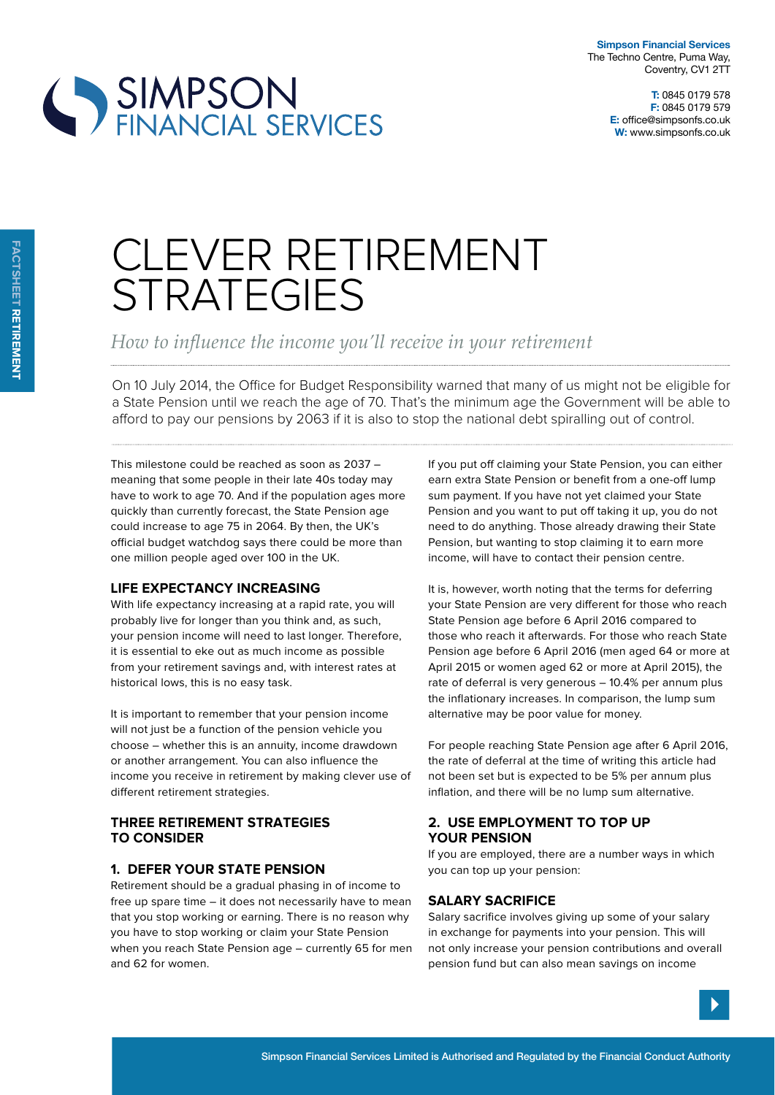**Simpson Financial Services** The Techno Centre, Puma Way, Coventry, CV1 2TT

> **T:** 0845 0179 578 **F:** 0845 0179 579 **E:** office@simpsonfs.co.uk **W:** www.simpsonfs.co.uk

# SIMPSON<br>FINANCIAL SERVICES

# CLEVER RETIREMENT **STRATEGIES**

How to influence the income you'll receive in your retirement

On 10 July 2014, the Office for Budget Responsibility warned that many of us might not be eligible for a State Pension until we reach the age of 70. That's the minimum age the Government will be able to afford to pay our pensions by 2063 if it is also to stop the national debt spiralling out of control.

This milestone could be reached as soon as 2037 – meaning that some people in their late 40s today may have to work to age 70. And if the population ages more quickly than currently forecast, the State Pension age could increase to age 75 in 2064. By then, the UK's official budget watchdog says there could be more than one million people aged over 100 in the UK.

# **liFe expectancy increasing**

With life expectancy increasing at a rapid rate, you will probably live for longer than you think and, as such, your pension income will need to last longer. Therefore, it is essential to eke out as much income as possible from your retirement savings and, with interest rates at historical lows, this is no easy task.

It is important to remember that your pension income will not just be a function of the pension vehicle you choose – whether this is an annuity, income drawdown or another arrangement. You can also influence the income you receive in retirement by making clever use of diferent retirement strategies.

## **tHree retirement strategies to consider**

# **1. deFer your state pension**

Retirement should be a gradual phasing in of income to free up spare time – it does not necessarily have to mean that you stop working or earning. There is no reason why you have to stop working or claim your State Pension when you reach State Pension age – currently 65 for men and 62 for women.

If you put off claiming your State Pension, you can either earn extra State Pension or benefit from a one-off lump sum payment. If you have not yet claimed your State Pension and you want to put off taking it up, you do not need to do anything. Those already drawing their State Pension, but wanting to stop claiming it to earn more income, will have to contact their pension centre.

It is, however, worth noting that the terms for deferring your State Pension are very diferent for those who reach State Pension age before 6 April 2016 compared to those who reach it afterwards. For those who reach State Pension age before 6 April 2016 (men aged 64 or more at April 2015 or women aged 62 or more at April 2015), the rate of deferral is very generous – 10.4% per annum plus the inflationary increases. In comparison, the lump sum alternative may be poor value for money.

For people reaching State Pension age after 6 April 2016, the rate of deferral at the time of writing this article had not been set but is expected to be 5% per annum plus inflation, and there will be no lump sum alternative.

## **2. use employment to top up your pension**

If you are employed, there are a number ways in which you can top up your pension:

# **salary sacriFice**

Salary sacrifice involves giving up some of your salary in exchange for payments into your pension. This will not only increase your pension contributions and overall pension fund but can also mean savings on income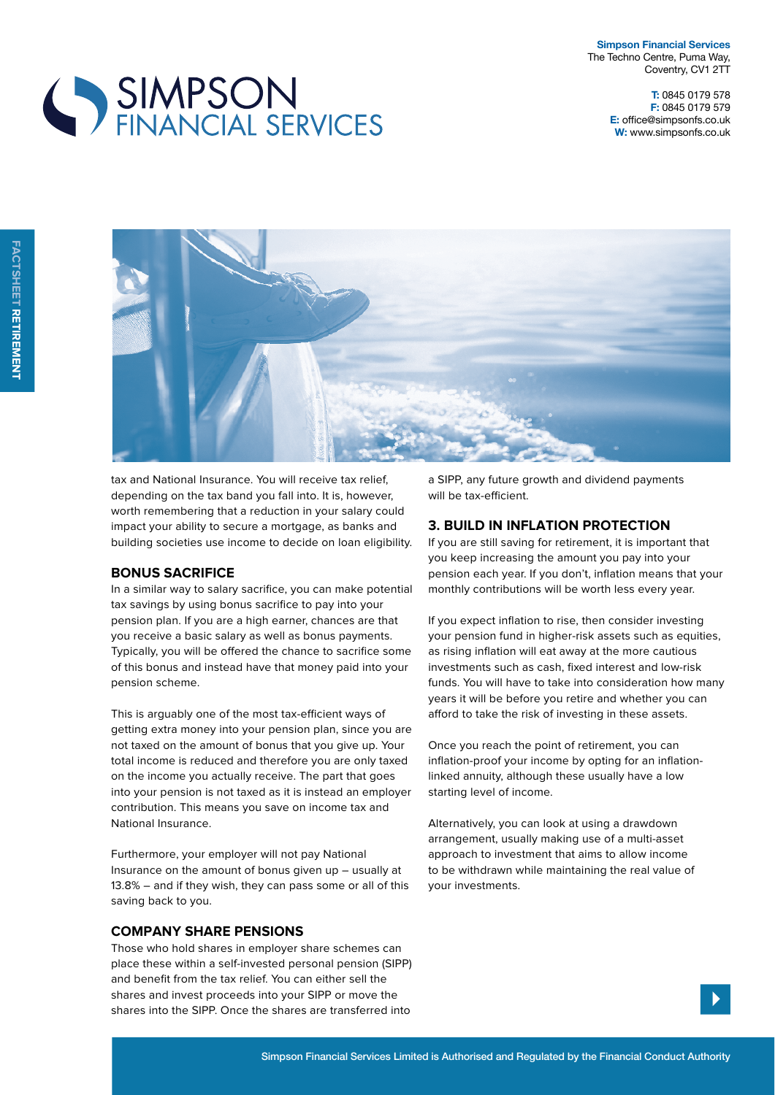**Simpson Financial Services** The Techno Centre, Puma Way, Coventry, CV1 2TT

> **T:** 0845 0179 578 **F:** 0845 0179 579 **E:** office@simpsonfs.co.uk **W:** www.simpsonfs.co.uk





tax and National Insurance. You will receive tax relief, depending on the tax band you fall into. It is, however, worth remembering that a reduction in your salary could impact your ability to secure a mortgage, as banks and building societies use income to decide on loan eligibility.

#### **Bonus sacriFice**

In a similar way to salary sacrifice, you can make potential tax savings by using bonus sacrifice to pay into your pension plan. If you are a high earner, chances are that you receive a basic salary as well as bonus payments. Typically, you will be ofered the chance to sacrifice some of this bonus and instead have that money paid into your pension scheme.

This is arguably one of the most tax-efficient ways of getting extra money into your pension plan, since you are not taxed on the amount of bonus that you give up. Your total income is reduced and therefore you are only taxed on the income you actually receive. The part that goes into your pension is not taxed as it is instead an employer contribution. This means you save on income tax and National Insurance.

Furthermore, your employer will not pay National Insurance on the amount of bonus given up – usually at 13.8% – and if they wish, they can pass some or all of this saving back to you.

#### **company sHare pensions**

Those who hold shares in employer share schemes can place these within a self-invested personal pension (SIPP) and benefit from the tax relief. You can either sell the shares and invest proceeds into your SIPP or move the shares into the SIPP. Once the shares are transferred into

a SIPP, any future growth and dividend payments will be tax-efficient.

#### **3. Build in inFlation protection**

If you are still saving for retirement, it is important that you keep increasing the amount you pay into your pension each year. If you don't, inflation means that your monthly contributions will be worth less every year.

If you expect inflation to rise, then consider investing your pension fund in higher-risk assets such as equities, as rising inflation will eat away at the more cautious investments such as cash, fixed interest and low-risk funds. You will have to take into consideration how many years it will be before you retire and whether you can afford to take the risk of investing in these assets.

Once you reach the point of retirement, you can inflation-proof your income by opting for an inflationlinked annuity, although these usually have a low starting level of income.

Alternatively, you can look at using a drawdown arrangement, usually making use of a multi-asset approach to investment that aims to allow income to be withdrawn while maintaining the real value of your investments.